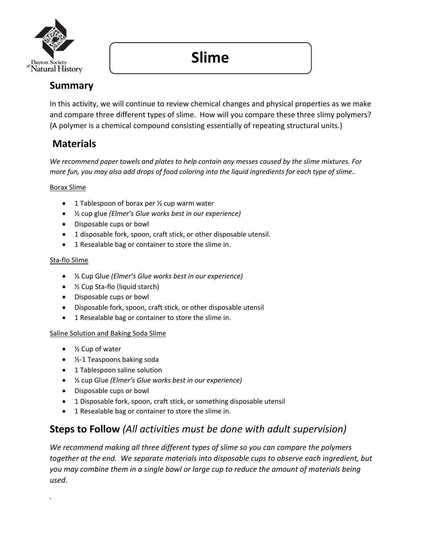

# **Slime**

### **Summary**

In this activity, we will continue to review chemical changes and physical properties as we make and compare three different types of slime. How will you compare these three slimy polymers? (A polymer is a chemical compound consisting essentially of repeating structural units.)

### **Materials**

*We recommend paper towels and plates to help contain any messes caused by the slime mixtures. For more fun, you may also add drops of food coloring into the liquid ingredients for each type of slime..* 

### Borax Slime

- 1 Tablespoon of borax per 1/2 cup warm water
- ½ cup glue *(Elmer's Glue works best in our experience)*
- Disposable cups or bowl
- 1 disposable fork, spoon, craft stick, or other disposable utensil.
- 1 Resealable bag or container to store the slime in.

### Sta-flo Slime

*.* 

- ½ Cup Glue *(Elmer's Glue works best in our experience)*
- ½ Cup Sta-flo (liquid starch)
- Disposable cups or bowl
- Disposable fork, spoon, craft stick, or other disposable utensil
- 1 Resealable bag or container to store the slime in.

#### Saline Solution and Baking Soda Slime

- ½ Cup of water
- ½-1 Teaspoons baking soda
- 1 Tablespoon saline solution
- ½ cup Glue *(Elmer's Glue works best in our experience)*
- Disposable cups or bowl
- 1 Disposable fork, spoon, craft stick, or something disposable utensil
- 1 Resealable bag or container to store the slime in.

### **Steps to Follow** *(All activities must be done with adult supervision)*

*We recommend making all three different types of slime so you can compare the polymers together at the end. We separate materials into disposable cups to observe each ingredient, but you may combine them in a single bowl or large cup to reduce the amount of materials being used.*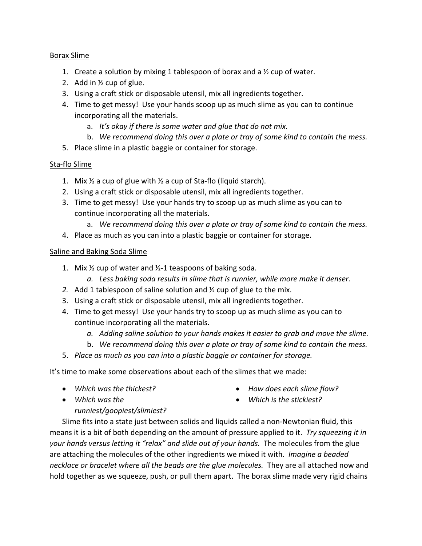#### Borax Slime

- 1. Create a solution by mixing 1 tablespoon of borax and a  $\frac{1}{2}$  cup of water.
- 2. Add in ½ cup of glue.
- 3. Using a craft stick or disposable utensil, mix all ingredients together.
- 4. Time to get messy! Use your hands scoop up as much slime as you can to continue incorporating all the materials.
	- a. *It's okay if there is some water and glue that do not mix.*
	- b. *We recommend doing this over a plate or tray of some kind to contain the mess.*
- 5. Place slime in a plastic baggie or container for storage.

#### Sta-flo Slime

- 1. Mix  $\frac{1}{2}$  a cup of glue with  $\frac{1}{2}$  a cup of Sta-flo (liquid starch).
- 2. Using a craft stick or disposable utensil, mix all ingredients together.
- 3. Time to get messy! Use your hands try to scoop up as much slime as you can to continue incorporating all the materials.
	- a. *We recommend doing this over a plate or tray of some kind to contain the mess.*
- 4. Place as much as you can into a plastic baggie or container for storage.

#### Saline and Baking Soda Slime

- 1. Mix ½ cup of water and ½-1 teaspoons of baking soda.
	- *a. Less baking soda results in slime that is runnier, while more make it denser.*
- *2.* Add 1 tablespoon of saline solution and ½ cup of glue to the mix.
- 3. Using a craft stick or disposable utensil, mix all ingredients together.
- 4. Time to get messy! Use your hands try to scoop up as much slime as you can to continue incorporating all the materials.
	- *a. Adding saline solution to your hands makes it easier to grab and move the slime.*
	- b. *We recommend doing this over a plate or tray of some kind to contain the mess.*
- 5. *Place as much as you can into a plastic baggie or container for storage.*

It's time to make some observations about each of the slimes that we made:

• *Which was the thickest?* 

• *How does each slime flow?*

• *Which was the* 

• *Which is the stickiest?*

*runniest/goopiest/slimiest?*

Slime fits into a state just between solids and liquids called a non-Newtonian fluid, this means it is a bit of both depending on the amount of pressure applied to it. *Try squeezing it in your hands versus letting it "relax" and slide out of your hands.* The molecules from the glue are attaching the molecules of the other ingredients we mixed it with. *Imagine a beaded necklace or bracelet where all the beads are the glue molecules.* They are all attached now and hold together as we squeeze, push, or pull them apart. The borax slime made very rigid chains